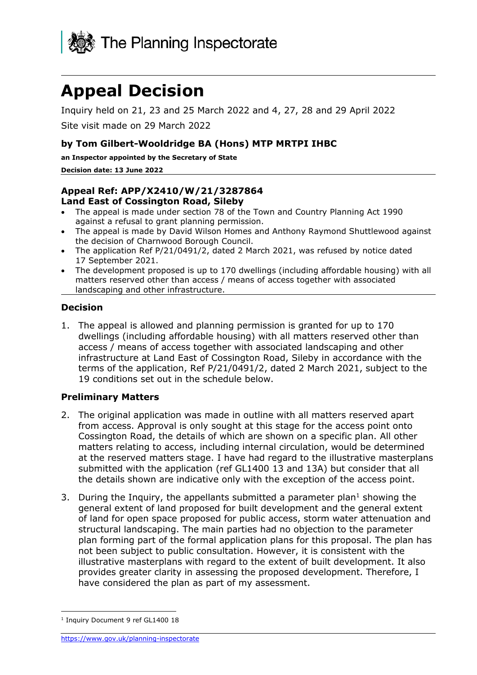

# **Appeal Decision**

Inquiry held on 21, 23 and 25 March 2022 and 4, 27, 28 and 29 April 2022

Site visit made on 29 March 2022

### **by Tom Gilbert-Wooldridge BA (Hons) MTP MRTPI IHBC**

**an Inspector appointed by the Secretary of State** 

#### **Decision date: 13 June 2022**

#### **Appeal Ref: APP/X2410/W/21/3287864 Land East of Cossington Road, Sileby**

- The appeal is made under section 78 of the Town and Country Planning Act 1990 against a refusal to grant planning permission.
- The appeal is made by David Wilson Homes and Anthony Raymond Shuttlewood against the decision of Charnwood Borough Council.
- The application Ref P/21/0491/2, dated 2 March 2021, was refused by notice dated 17 September 2021.
- The development proposed is up to 170 dwellings (including affordable housing) with all matters reserved other than access / means of access together with associated landscaping and other infrastructure.

### **Decision**

1. The appeal is allowed and planning permission is granted for up to 170 dwellings (including affordable housing) with all matters reserved other than access / means of access together with associated landscaping and other infrastructure at Land East of Cossington Road, Sileby in accordance with the terms of the application, Ref P/21/0491/2, dated 2 March 2021, subject to the 19 conditions set out in the schedule below.

#### **Preliminary Matters**

- 2. The original application was made in outline with all matters reserved apart from access. Approval is only sought at this stage for the access point onto Cossington Road, the details of which are shown on a specific plan. All other matters relating to access, including internal circulation, would be determined at the reserved matters stage. I have had regard to the illustrative masterplans submitted with the application (ref GL1400 13 and 13A) but consider that all the details shown are indicative only with the exception of the access point.
- 3. During the Inquiry, the appellants submitted a parameter plan<sup>1</sup> showing the general extent of land proposed for built development and the general extent of land for open space proposed for public access, storm water attenuation and structural landscaping. The main parties had no objection to the parameter plan forming part of the formal application plans for this proposal. The plan has not been subject to public consultation. However, it is consistent with the illustrative masterplans with regard to the extent of built development. It also provides greater clarity in assessing the proposed development. Therefore, I have considered the plan as part of my assessment.

<sup>&</sup>lt;sup>1</sup> Inquiry Document 9 ref GL1400 18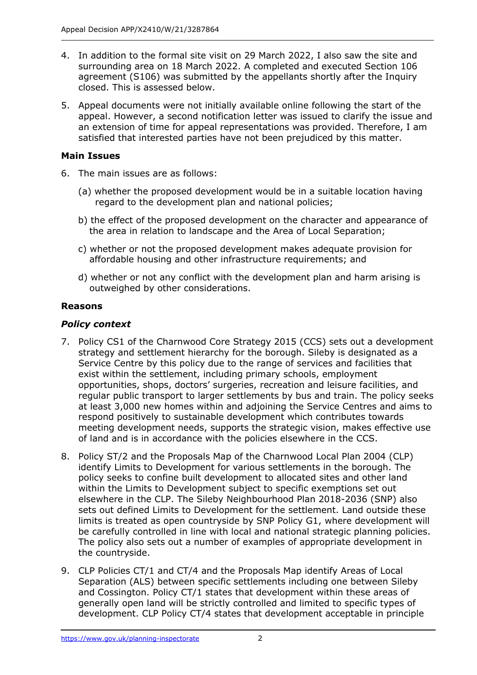- 4. In addition to the formal site visit on 29 March 2022, I also saw the site and surrounding area on 18 March 2022. A completed and executed Section 106 agreement (S106) was submitted by the appellants shortly after the Inquiry closed. This is assessed below.
- 5. Appeal documents were not initially available online following the start of the appeal. However, a second notification letter was issued to clarify the issue and an extension of time for appeal representations was provided. Therefore, I am satisfied that interested parties have not been prejudiced by this matter.

# **Main Issues**

- 6. The main issues are as follows:
	- (a) whether the proposed development would be in a suitable location having regard to the development plan and national policies;
	- b) the effect of the proposed development on the character and appearance of the area in relation to landscape and the Area of Local Separation;
	- c) whether or not the proposed development makes adequate provision for affordable housing and other infrastructure requirements; and
	- d) whether or not any conflict with the development plan and harm arising is outweighed by other considerations.

### **Reasons**

### *Policy context*

- 7. Policy CS1 of the Charnwood Core Strategy 2015 (CCS) sets out a development strategy and settlement hierarchy for the borough. Sileby is designated as a Service Centre by this policy due to the range of services and facilities that exist within the settlement, including primary schools, employment opportunities, shops, doctors' surgeries, recreation and leisure facilities, and regular public transport to larger settlements by bus and train. The policy seeks at least 3,000 new homes within and adjoining the Service Centres and aims to respond positively to sustainable development which contributes towards meeting development needs, supports the strategic vision, makes effective use of land and is in accordance with the policies elsewhere in the CCS.
- 8. Policy ST/2 and the Proposals Map of the Charnwood Local Plan 2004 (CLP) identify Limits to Development for various settlements in the borough. The policy seeks to confine built development to allocated sites and other land within the Limits to Development subject to specific exemptions set out elsewhere in the CLP. The Sileby Neighbourhood Plan 2018-2036 (SNP) also sets out defined Limits to Development for the settlement. Land outside these limits is treated as open countryside by SNP Policy G1, where development will be carefully controlled in line with local and national strategic planning policies. The policy also sets out a number of examples of appropriate development in the countryside.
- 9. CLP Policies CT/1 and CT/4 and the Proposals Map identify Areas of Local Separation (ALS) between specific settlements including one between Sileby and Cossington. Policy CT/1 states that development within these areas of generally open land will be strictly controlled and limited to specific types of development. CLP Policy CT/4 states that development acceptable in principle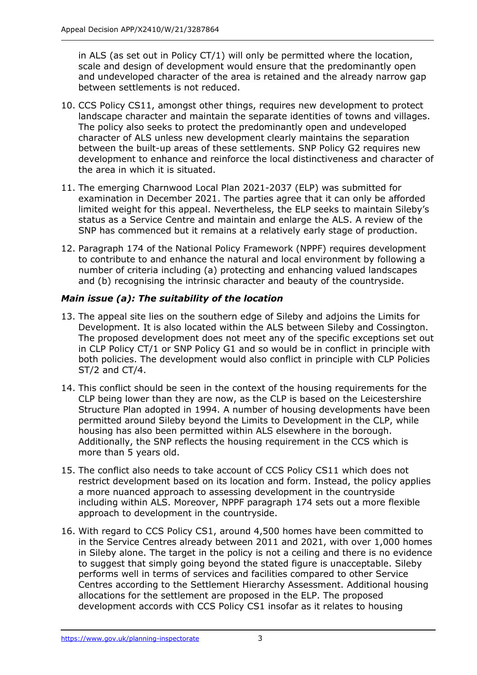in ALS (as set out in Policy CT/1) will only be permitted where the location, scale and design of development would ensure that the predominantly open and undeveloped character of the area is retained and the already narrow gap between settlements is not reduced.

- 10. CCS Policy CS11, amongst other things, requires new development to protect landscape character and maintain the separate identities of towns and villages. The policy also seeks to protect the predominantly open and undeveloped character of ALS unless new development clearly maintains the separation between the built-up areas of these settlements. SNP Policy G2 requires new development to enhance and reinforce the local distinctiveness and character of the area in which it is situated.
- 11. The emerging Charnwood Local Plan 2021-2037 (ELP) was submitted for examination in December 2021. The parties agree that it can only be afforded limited weight for this appeal. Nevertheless, the ELP seeks to maintain Sileby's status as a Service Centre and maintain and enlarge the ALS. A review of the SNP has commenced but it remains at a relatively early stage of production.
- 12. Paragraph 174 of the National Policy Framework (NPPF) requires development to contribute to and enhance the natural and local environment by following a number of criteria including (a) protecting and enhancing valued landscapes and (b) recognising the intrinsic character and beauty of the countryside.

# *Main issue (a): The suitability of the location*

- 13. The appeal site lies on the southern edge of Sileby and adjoins the Limits for Development. It is also located within the ALS between Sileby and Cossington. The proposed development does not meet any of the specific exceptions set out in CLP Policy CT/1 or SNP Policy G1 and so would be in conflict in principle with both policies. The development would also conflict in principle with CLP Policies ST/2 and CT/4.
- 14. This conflict should be seen in the context of the housing requirements for the CLP being lower than they are now, as the CLP is based on the Leicestershire Structure Plan adopted in 1994. A number of housing developments have been permitted around Sileby beyond the Limits to Development in the CLP, while housing has also been permitted within ALS elsewhere in the borough. Additionally, the SNP reflects the housing requirement in the CCS which is more than 5 years old.
- 15. The conflict also needs to take account of CCS Policy CS11 which does not restrict development based on its location and form. Instead, the policy applies a more nuanced approach to assessing development in the countryside including within ALS. Moreover, NPPF paragraph 174 sets out a more flexible approach to development in the countryside.
- 16. With regard to CCS Policy CS1, around 4,500 homes have been committed to in the Service Centres already between 2011 and 2021, with over 1,000 homes in Sileby alone. The target in the policy is not a ceiling and there is no evidence to suggest that simply going beyond the stated figure is unacceptable. Sileby performs well in terms of services and facilities compared to other Service Centres according to the Settlement Hierarchy Assessment. Additional housing allocations for the settlement are proposed in the ELP. The proposed development accords with CCS Policy CS1 insofar as it relates to housing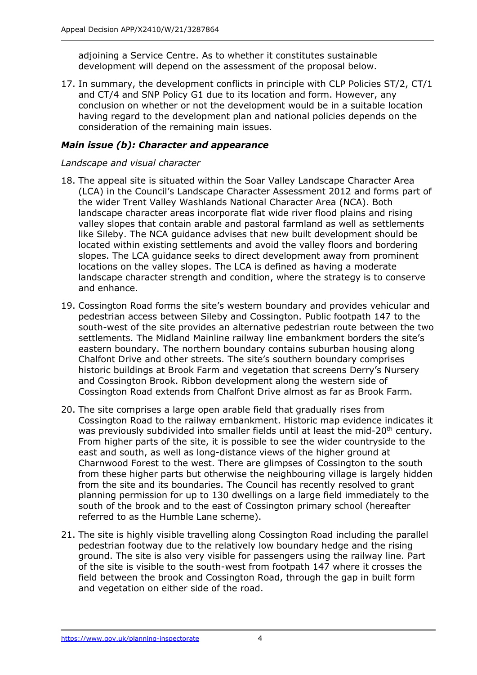adjoining a Service Centre. As to whether it constitutes sustainable development will depend on the assessment of the proposal below.

17. In summary, the development conflicts in principle with CLP Policies ST/2, CT/1 and CT/4 and SNP Policy G1 due to its location and form. However, any conclusion on whether or not the development would be in a suitable location having regard to the development plan and national policies depends on the consideration of the remaining main issues.

# *Main issue (b): Character and appearance*

#### *Landscape and visual character*

- 18. The appeal site is situated within the Soar Valley Landscape Character Area (LCA) in the Council's Landscape Character Assessment 2012 and forms part of the wider Trent Valley Washlands National Character Area (NCA). Both landscape character areas incorporate flat wide river flood plains and rising valley slopes that contain arable and pastoral farmland as well as settlements like Sileby. The NCA guidance advises that new built development should be located within existing settlements and avoid the valley floors and bordering slopes. The LCA guidance seeks to direct development away from prominent locations on the valley slopes. The LCA is defined as having a moderate landscape character strength and condition, where the strategy is to conserve and enhance.
- 19. Cossington Road forms the site's western boundary and provides vehicular and pedestrian access between Sileby and Cossington. Public footpath 147 to the south-west of the site provides an alternative pedestrian route between the two settlements. The Midland Mainline railway line embankment borders the site's eastern boundary. The northern boundary contains suburban housing along Chalfont Drive and other streets. The site's southern boundary comprises historic buildings at Brook Farm and vegetation that screens Derry's Nursery and Cossington Brook. Ribbon development along the western side of Cossington Road extends from Chalfont Drive almost as far as Brook Farm.
- 20. The site comprises a large open arable field that gradually rises from Cossington Road to the railway embankment. Historic map evidence indicates it was previously subdivided into smaller fields until at least the mid-20<sup>th</sup> century. From higher parts of the site, it is possible to see the wider countryside to the east and south, as well as long-distance views of the higher ground at Charnwood Forest to the west. There are glimpses of Cossington to the south from these higher parts but otherwise the neighbouring village is largely hidden from the site and its boundaries. The Council has recently resolved to grant planning permission for up to 130 dwellings on a large field immediately to the south of the brook and to the east of Cossington primary school (hereafter referred to as the Humble Lane scheme).
- 21. The site is highly visible travelling along Cossington Road including the parallel pedestrian footway due to the relatively low boundary hedge and the rising ground. The site is also very visible for passengers using the railway line. Part of the site is visible to the south-west from footpath 147 where it crosses the field between the brook and Cossington Road, through the gap in built form and vegetation on either side of the road.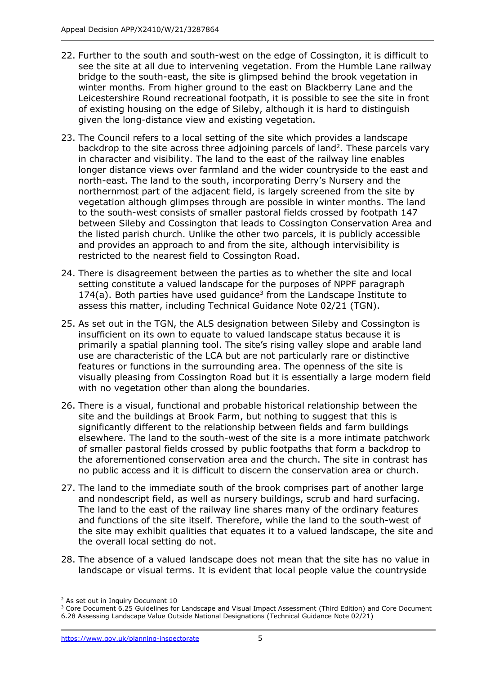- 22. Further to the south and south-west on the edge of Cossington, it is difficult to see the site at all due to intervening vegetation. From the Humble Lane railway bridge to the south-east, the site is glimpsed behind the brook vegetation in winter months. From higher ground to the east on Blackberry Lane and the Leicestershire Round recreational footpath, it is possible to see the site in front of existing housing on the edge of Sileby, although it is hard to distinguish given the long-distance view and existing vegetation.
- 23. The Council refers to a local setting of the site which provides a landscape backdrop to the site across three adjoining parcels of land<sup>2</sup>. These parcels vary in character and visibility. The land to the east of the railway line enables longer distance views over farmland and the wider countryside to the east and north-east. The land to the south, incorporating Derry's Nursery and the northernmost part of the adjacent field, is largely screened from the site by vegetation although glimpses through are possible in winter months. The land to the south-west consists of smaller pastoral fields crossed by footpath 147 between Sileby and Cossington that leads to Cossington Conservation Area and the listed parish church. Unlike the other two parcels, it is publicly accessible and provides an approach to and from the site, although intervisibility is restricted to the nearest field to Cossington Road.
- 24. There is disagreement between the parties as to whether the site and local setting constitute a valued landscape for the purposes of NPPF paragraph  $174(a)$ . Both parties have used guidance<sup>3</sup> from the Landscape Institute to assess this matter, including Technical Guidance Note 02/21 (TGN).
- 25. As set out in the TGN, the ALS designation between Sileby and Cossington is insufficient on its own to equate to valued landscape status because it is primarily a spatial planning tool. The site's rising valley slope and arable land use are characteristic of the LCA but are not particularly rare or distinctive features or functions in the surrounding area. The openness of the site is visually pleasing from Cossington Road but it is essentially a large modern field with no vegetation other than along the boundaries.
- 26. There is a visual, functional and probable historical relationship between the site and the buildings at Brook Farm, but nothing to suggest that this is significantly different to the relationship between fields and farm buildings elsewhere. The land to the south-west of the site is a more intimate patchwork of smaller pastoral fields crossed by public footpaths that form a backdrop to the aforementioned conservation area and the church. The site in contrast has no public access and it is difficult to discern the conservation area or church.
- 27. The land to the immediate south of the brook comprises part of another large and nondescript field, as well as nursery buildings, scrub and hard surfacing. The land to the east of the railway line shares many of the ordinary features and functions of the site itself. Therefore, while the land to the south-west of the site may exhibit qualities that equates it to a valued landscape, the site and the overall local setting do not.
- 28. The absence of a valued landscape does not mean that the site has no value in landscape or visual terms. It is evident that local people value the countryside

<sup>2</sup> As set out in Inquiry Document 10

<sup>3</sup> Core Document 6.25 Guidelines for Landscape and Visual Impact Assessment (Third Edition) and Core Document 6.28 Assessing Landscape Value Outside National Designations (Technical Guidance Note 02/21)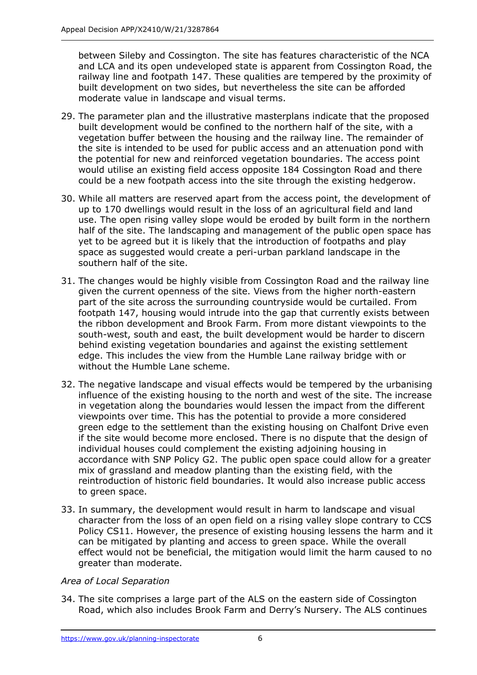between Sileby and Cossington. The site has features characteristic of the NCA and LCA and its open undeveloped state is apparent from Cossington Road, the railway line and footpath 147. These qualities are tempered by the proximity of built development on two sides, but nevertheless the site can be afforded moderate value in landscape and visual terms.

- 29. The parameter plan and the illustrative masterplans indicate that the proposed built development would be confined to the northern half of the site, with a vegetation buffer between the housing and the railway line. The remainder of the site is intended to be used for public access and an attenuation pond with the potential for new and reinforced vegetation boundaries. The access point would utilise an existing field access opposite 184 Cossington Road and there could be a new footpath access into the site through the existing hedgerow.
- 30. While all matters are reserved apart from the access point, the development of up to 170 dwellings would result in the loss of an agricultural field and land use. The open rising valley slope would be eroded by built form in the northern half of the site. The landscaping and management of the public open space has yet to be agreed but it is likely that the introduction of footpaths and play space as suggested would create a peri-urban parkland landscape in the southern half of the site.
- 31. The changes would be highly visible from Cossington Road and the railway line given the current openness of the site. Views from the higher north-eastern part of the site across the surrounding countryside would be curtailed. From footpath 147, housing would intrude into the gap that currently exists between the ribbon development and Brook Farm. From more distant viewpoints to the south-west, south and east, the built development would be harder to discern behind existing vegetation boundaries and against the existing settlement edge. This includes the view from the Humble Lane railway bridge with or without the Humble Lane scheme.
- 32. The negative landscape and visual effects would be tempered by the urbanising influence of the existing housing to the north and west of the site. The increase in vegetation along the boundaries would lessen the impact from the different viewpoints over time. This has the potential to provide a more considered green edge to the settlement than the existing housing on Chalfont Drive even if the site would become more enclosed. There is no dispute that the design of individual houses could complement the existing adjoining housing in accordance with SNP Policy G2. The public open space could allow for a greater mix of grassland and meadow planting than the existing field, with the reintroduction of historic field boundaries. It would also increase public access to green space.
- 33. In summary, the development would result in harm to landscape and visual character from the loss of an open field on a rising valley slope contrary to CCS Policy CS11. However, the presence of existing housing lessens the harm and it can be mitigated by planting and access to green space. While the overall effect would not be beneficial, the mitigation would limit the harm caused to no greater than moderate.

# *Area of Local Separation*

34. The site comprises a large part of the ALS on the eastern side of Cossington Road, which also includes Brook Farm and Derry's Nursery. The ALS continues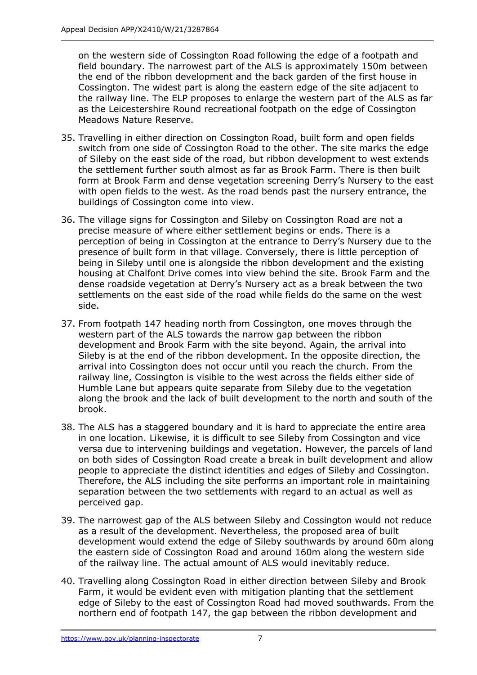on the western side of Cossington Road following the edge of a footpath and field boundary. The narrowest part of the ALS is approximately 150m between the end of the ribbon development and the back garden of the first house in Cossington. The widest part is along the eastern edge of the site adjacent to the railway line. The ELP proposes to enlarge the western part of the ALS as far as the Leicestershire Round recreational footpath on the edge of Cossington Meadows Nature Reserve.

- 35. Travelling in either direction on Cossington Road, built form and open fields switch from one side of Cossington Road to the other. The site marks the edge of Sileby on the east side of the road, but ribbon development to west extends the settlement further south almost as far as Brook Farm. There is then built form at Brook Farm and dense vegetation screening Derry's Nursery to the east with open fields to the west. As the road bends past the nursery entrance, the buildings of Cossington come into view.
- 36. The village signs for Cossington and Sileby on Cossington Road are not a precise measure of where either settlement begins or ends. There is a perception of being in Cossington at the entrance to Derry's Nursery due to the presence of built form in that village. Conversely, there is little perception of being in Sileby until one is alongside the ribbon development and the existing housing at Chalfont Drive comes into view behind the site. Brook Farm and the dense roadside vegetation at Derry's Nursery act as a break between the two settlements on the east side of the road while fields do the same on the west side.
- 37. From footpath 147 heading north from Cossington, one moves through the western part of the ALS towards the narrow gap between the ribbon development and Brook Farm with the site beyond. Again, the arrival into Sileby is at the end of the ribbon development. In the opposite direction, the arrival into Cossington does not occur until you reach the church. From the railway line, Cossington is visible to the west across the fields either side of Humble Lane but appears quite separate from Sileby due to the vegetation along the brook and the lack of built development to the north and south of the brook.
- 38. The ALS has a staggered boundary and it is hard to appreciate the entire area in one location. Likewise, it is difficult to see Sileby from Cossington and vice versa due to intervening buildings and vegetation. However, the parcels of land on both sides of Cossington Road create a break in built development and allow people to appreciate the distinct identities and edges of Sileby and Cossington. Therefore, the ALS including the site performs an important role in maintaining separation between the two settlements with regard to an actual as well as perceived gap.
- 39. The narrowest gap of the ALS between Sileby and Cossington would not reduce as a result of the development. Nevertheless, the proposed area of built development would extend the edge of Sileby southwards by around 60m along the eastern side of Cossington Road and around 160m along the western side of the railway line. The actual amount of ALS would inevitably reduce.
- 40. Travelling along Cossington Road in either direction between Sileby and Brook Farm, it would be evident even with mitigation planting that the settlement edge of Sileby to the east of Cossington Road had moved southwards. From the northern end of footpath 147, the gap between the ribbon development and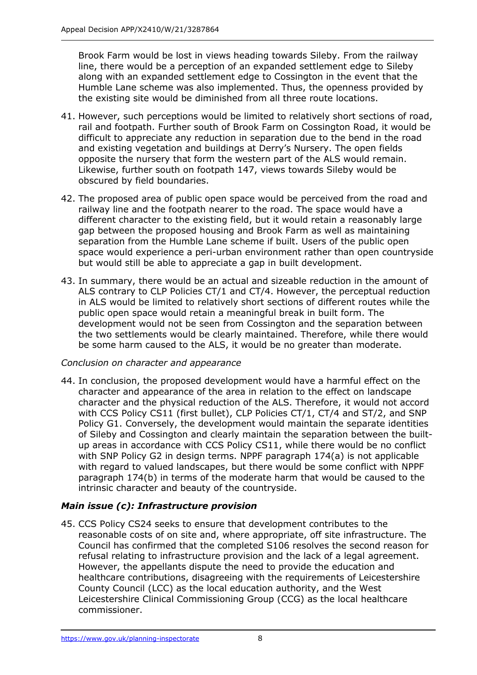Brook Farm would be lost in views heading towards Sileby. From the railway line, there would be a perception of an expanded settlement edge to Sileby along with an expanded settlement edge to Cossington in the event that the Humble Lane scheme was also implemented. Thus, the openness provided by the existing site would be diminished from all three route locations.

- 41. However, such perceptions would be limited to relatively short sections of road, rail and footpath. Further south of Brook Farm on Cossington Road, it would be difficult to appreciate any reduction in separation due to the bend in the road and existing vegetation and buildings at Derry's Nursery. The open fields opposite the nursery that form the western part of the ALS would remain. Likewise, further south on footpath 147, views towards Sileby would be obscured by field boundaries.
- 42. The proposed area of public open space would be perceived from the road and railway line and the footpath nearer to the road. The space would have a different character to the existing field, but it would retain a reasonably large gap between the proposed housing and Brook Farm as well as maintaining separation from the Humble Lane scheme if built. Users of the public open space would experience a peri-urban environment rather than open countryside but would still be able to appreciate a gap in built development.
- 43. In summary, there would be an actual and sizeable reduction in the amount of ALS contrary to CLP Policies CT/1 and CT/4. However, the perceptual reduction in ALS would be limited to relatively short sections of different routes while the public open space would retain a meaningful break in built form. The development would not be seen from Cossington and the separation between the two settlements would be clearly maintained. Therefore, while there would be some harm caused to the ALS, it would be no greater than moderate.

# *Conclusion on character and appearance*

44. In conclusion, the proposed development would have a harmful effect on the character and appearance of the area in relation to the effect on landscape character and the physical reduction of the ALS. Therefore, it would not accord with CCS Policy CS11 (first bullet), CLP Policies CT/1, CT/4 and ST/2, and SNP Policy G1. Conversely, the development would maintain the separate identities of Sileby and Cossington and clearly maintain the separation between the builtup areas in accordance with CCS Policy CS11, while there would be no conflict with SNP Policy G2 in design terms. NPPF paragraph 174(a) is not applicable with regard to valued landscapes, but there would be some conflict with NPPF paragraph 174(b) in terms of the moderate harm that would be caused to the intrinsic character and beauty of the countryside.

# *Main issue (c): Infrastructure provision*

45. CCS Policy CS24 seeks to ensure that development contributes to the reasonable costs of on site and, where appropriate, off site infrastructure. The Council has confirmed that the completed S106 resolves the second reason for refusal relating to infrastructure provision and the lack of a legal agreement. However, the appellants dispute the need to provide the education and healthcare contributions, disagreeing with the requirements of Leicestershire County Council (LCC) as the local education authority, and the West Leicestershire Clinical Commissioning Group (CCG) as the local healthcare commissioner.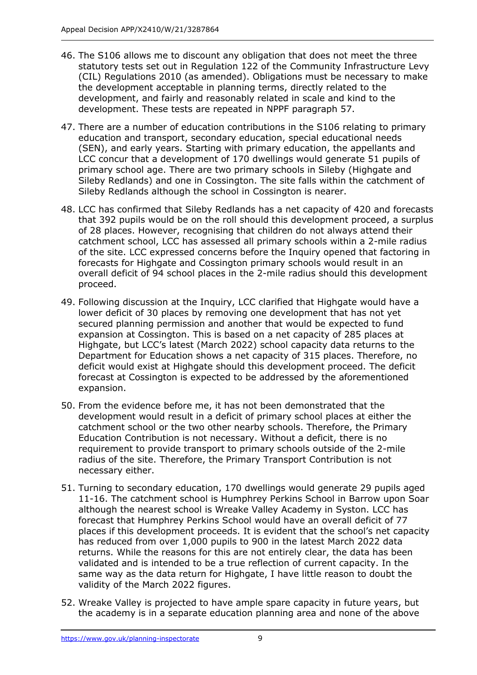- 46. The S106 allows me to discount any obligation that does not meet the three statutory tests set out in Regulation 122 of the Community Infrastructure Levy (CIL) Regulations 2010 (as amended). Obligations must be necessary to make the development acceptable in planning terms, directly related to the development, and fairly and reasonably related in scale and kind to the development. These tests are repeated in NPPF paragraph 57.
- 47. There are a number of education contributions in the S106 relating to primary education and transport, secondary education, special educational needs (SEN), and early years. Starting with primary education, the appellants and LCC concur that a development of 170 dwellings would generate 51 pupils of primary school age. There are two primary schools in Sileby (Highgate and Sileby Redlands) and one in Cossington. The site falls within the catchment of Sileby Redlands although the school in Cossington is nearer.
- 48. LCC has confirmed that Sileby Redlands has a net capacity of 420 and forecasts that 392 pupils would be on the roll should this development proceed, a surplus of 28 places. However, recognising that children do not always attend their catchment school, LCC has assessed all primary schools within a 2-mile radius of the site. LCC expressed concerns before the Inquiry opened that factoring in forecasts for Highgate and Cossington primary schools would result in an overall deficit of 94 school places in the 2-mile radius should this development proceed.
- 49. Following discussion at the Inquiry, LCC clarified that Highgate would have a lower deficit of 30 places by removing one development that has not yet secured planning permission and another that would be expected to fund expansion at Cossington. This is based on a net capacity of 285 places at Highgate, but LCC's latest (March 2022) school capacity data returns to the Department for Education shows a net capacity of 315 places. Therefore, no deficit would exist at Highgate should this development proceed. The deficit forecast at Cossington is expected to be addressed by the aforementioned expansion.
- 50. From the evidence before me, it has not been demonstrated that the development would result in a deficit of primary school places at either the catchment school or the two other nearby schools. Therefore, the Primary Education Contribution is not necessary. Without a deficit, there is no requirement to provide transport to primary schools outside of the 2-mile radius of the site. Therefore, the Primary Transport Contribution is not necessary either.
- 51. Turning to secondary education, 170 dwellings would generate 29 pupils aged 11-16. The catchment school is Humphrey Perkins School in Barrow upon Soar although the nearest school is Wreake Valley Academy in Syston. LCC has forecast that Humphrey Perkins School would have an overall deficit of 77 places if this development proceeds. It is evident that the school's net capacity has reduced from over 1,000 pupils to 900 in the latest March 2022 data returns. While the reasons for this are not entirely clear, the data has been validated and is intended to be a true reflection of current capacity. In the same way as the data return for Highgate, I have little reason to doubt the validity of the March 2022 figures.
- 52. Wreake Valley is projected to have ample spare capacity in future years, but the academy is in a separate education planning area and none of the above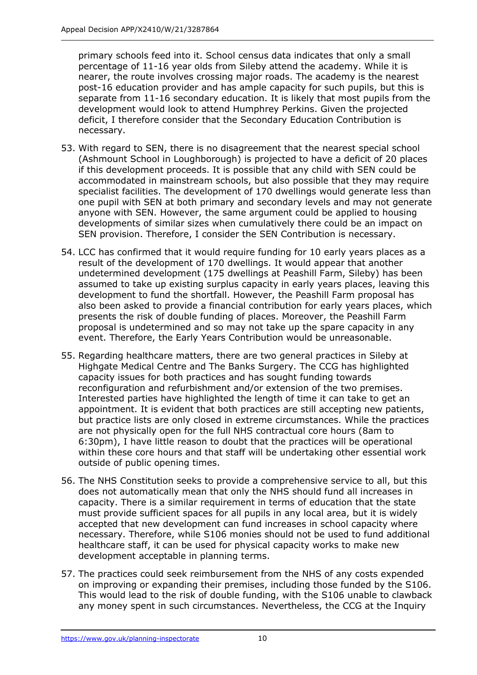primary schools feed into it. School census data indicates that only a small percentage of 11-16 year olds from Sileby attend the academy. While it is nearer, the route involves crossing major roads. The academy is the nearest post-16 education provider and has ample capacity for such pupils, but this is separate from 11-16 secondary education. It is likely that most pupils from the development would look to attend Humphrey Perkins. Given the projected deficit, I therefore consider that the Secondary Education Contribution is necessary.

- 53. With regard to SEN, there is no disagreement that the nearest special school (Ashmount School in Loughborough) is projected to have a deficit of 20 places if this development proceeds. It is possible that any child with SEN could be accommodated in mainstream schools, but also possible that they may require specialist facilities. The development of 170 dwellings would generate less than one pupil with SEN at both primary and secondary levels and may not generate anyone with SEN. However, the same argument could be applied to housing developments of similar sizes when cumulatively there could be an impact on SEN provision. Therefore, I consider the SEN Contribution is necessary.
- 54. LCC has confirmed that it would require funding for 10 early years places as a result of the development of 170 dwellings. It would appear that another undetermined development (175 dwellings at Peashill Farm, Sileby) has been assumed to take up existing surplus capacity in early years places, leaving this development to fund the shortfall. However, the Peashill Farm proposal has also been asked to provide a financial contribution for early years places, which presents the risk of double funding of places. Moreover, the Peashill Farm proposal is undetermined and so may not take up the spare capacity in any event. Therefore, the Early Years Contribution would be unreasonable.
- 55. Regarding healthcare matters, there are two general practices in Sileby at Highgate Medical Centre and The Banks Surgery. The CCG has highlighted capacity issues for both practices and has sought funding towards reconfiguration and refurbishment and/or extension of the two premises. Interested parties have highlighted the length of time it can take to get an appointment. It is evident that both practices are still accepting new patients, but practice lists are only closed in extreme circumstances. While the practices are not physically open for the full NHS contractual core hours (8am to 6:30pm), I have little reason to doubt that the practices will be operational within these core hours and that staff will be undertaking other essential work outside of public opening times.
- 56. The NHS Constitution seeks to provide a comprehensive service to all, but this does not automatically mean that only the NHS should fund all increases in capacity. There is a similar requirement in terms of education that the state must provide sufficient spaces for all pupils in any local area, but it is widely accepted that new development can fund increases in school capacity where necessary. Therefore, while S106 monies should not be used to fund additional healthcare staff, it can be used for physical capacity works to make new development acceptable in planning terms.
- 57. The practices could seek reimbursement from the NHS of any costs expended on improving or expanding their premises, including those funded by the S106. This would lead to the risk of double funding, with the S106 unable to clawback any money spent in such circumstances. Nevertheless, the CCG at the Inquiry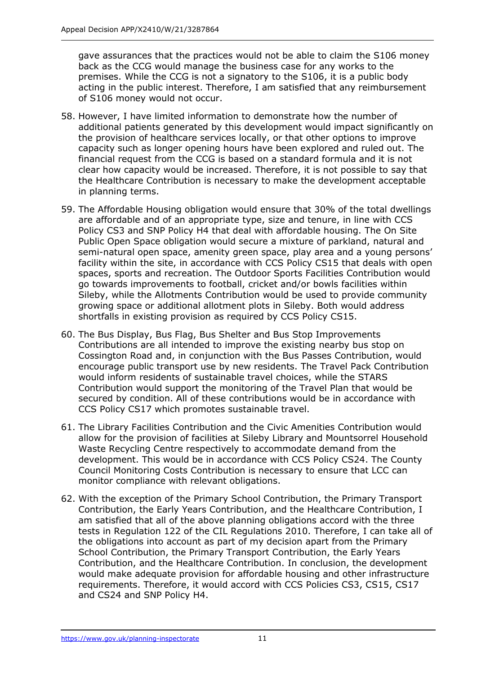gave assurances that the practices would not be able to claim the S106 money back as the CCG would manage the business case for any works to the premises. While the CCG is not a signatory to the S106, it is a public body acting in the public interest. Therefore, I am satisfied that any reimbursement of S106 money would not occur.

- 58. However, I have limited information to demonstrate how the number of additional patients generated by this development would impact significantly on the provision of healthcare services locally, or that other options to improve capacity such as longer opening hours have been explored and ruled out. The financial request from the CCG is based on a standard formula and it is not clear how capacity would be increased. Therefore, it is not possible to say that the Healthcare Contribution is necessary to make the development acceptable in planning terms.
- 59. The Affordable Housing obligation would ensure that 30% of the total dwellings are affordable and of an appropriate type, size and tenure, in line with CCS Policy CS3 and SNP Policy H4 that deal with affordable housing. The On Site Public Open Space obligation would secure a mixture of parkland, natural and semi-natural open space, amenity green space, play area and a young persons' facility within the site, in accordance with CCS Policy CS15 that deals with open spaces, sports and recreation. The Outdoor Sports Facilities Contribution would go towards improvements to football, cricket and/or bowls facilities within Sileby, while the Allotments Contribution would be used to provide community growing space or additional allotment plots in Sileby. Both would address shortfalls in existing provision as required by CCS Policy CS15.
- 60. The Bus Display, Bus Flag, Bus Shelter and Bus Stop Improvements Contributions are all intended to improve the existing nearby bus stop on Cossington Road and, in conjunction with the Bus Passes Contribution, would encourage public transport use by new residents. The Travel Pack Contribution would inform residents of sustainable travel choices, while the STARS Contribution would support the monitoring of the Travel Plan that would be secured by condition. All of these contributions would be in accordance with CCS Policy CS17 which promotes sustainable travel.
- 61. The Library Facilities Contribution and the Civic Amenities Contribution would allow for the provision of facilities at Sileby Library and Mountsorrel Household Waste Recycling Centre respectively to accommodate demand from the development. This would be in accordance with CCS Policy CS24. The County Council Monitoring Costs Contribution is necessary to ensure that LCC can monitor compliance with relevant obligations.
- 62. With the exception of the Primary School Contribution, the Primary Transport Contribution, the Early Years Contribution, and the Healthcare Contribution, I am satisfied that all of the above planning obligations accord with the three tests in Regulation 122 of the CIL Regulations 2010. Therefore, I can take all of the obligations into account as part of my decision apart from the Primary School Contribution, the Primary Transport Contribution, the Early Years Contribution, and the Healthcare Contribution. In conclusion, the development would make adequate provision for affordable housing and other infrastructure requirements. Therefore, it would accord with CCS Policies CS3, CS15, CS17 and CS24 and SNP Policy H4.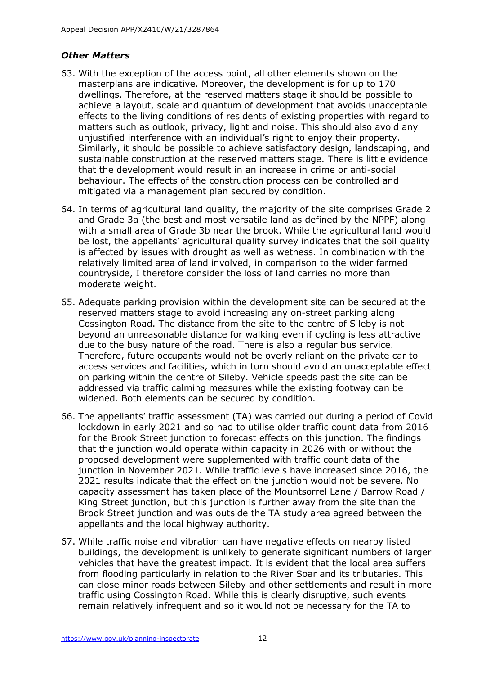# *Other Matters*

- 63. With the exception of the access point, all other elements shown on the masterplans are indicative. Moreover, the development is for up to 170 dwellings. Therefore, at the reserved matters stage it should be possible to achieve a layout, scale and quantum of development that avoids unacceptable effects to the living conditions of residents of existing properties with regard to matters such as outlook, privacy, light and noise. This should also avoid any unjustified interference with an individual's right to enjoy their property. Similarly, it should be possible to achieve satisfactory design, landscaping, and sustainable construction at the reserved matters stage. There is little evidence that the development would result in an increase in crime or anti-social behaviour. The effects of the construction process can be controlled and mitigated via a management plan secured by condition.
- 64. In terms of agricultural land quality, the majority of the site comprises Grade 2 and Grade 3a (the best and most versatile land as defined by the NPPF) along with a small area of Grade 3b near the brook. While the agricultural land would be lost, the appellants' agricultural quality survey indicates that the soil quality is affected by issues with drought as well as wetness. In combination with the relatively limited area of land involved, in comparison to the wider farmed countryside, I therefore consider the loss of land carries no more than moderate weight.
- 65. Adequate parking provision within the development site can be secured at the reserved matters stage to avoid increasing any on-street parking along Cossington Road. The distance from the site to the centre of Sileby is not beyond an unreasonable distance for walking even if cycling is less attractive due to the busy nature of the road. There is also a regular bus service. Therefore, future occupants would not be overly reliant on the private car to access services and facilities, which in turn should avoid an unacceptable effect on parking within the centre of Sileby. Vehicle speeds past the site can be addressed via traffic calming measures while the existing footway can be widened. Both elements can be secured by condition.
- 66. The appellants' traffic assessment (TA) was carried out during a period of Covid lockdown in early 2021 and so had to utilise older traffic count data from 2016 for the Brook Street junction to forecast effects on this junction. The findings that the junction would operate within capacity in 2026 with or without the proposed development were supplemented with traffic count data of the junction in November 2021. While traffic levels have increased since 2016, the 2021 results indicate that the effect on the junction would not be severe. No capacity assessment has taken place of the Mountsorrel Lane / Barrow Road / King Street junction, but this junction is further away from the site than the Brook Street junction and was outside the TA study area agreed between the appellants and the local highway authority.
- 67. While traffic noise and vibration can have negative effects on nearby listed buildings, the development is unlikely to generate significant numbers of larger vehicles that have the greatest impact. It is evident that the local area suffers from flooding particularly in relation to the River Soar and its tributaries. This can close minor roads between Sileby and other settlements and result in more traffic using Cossington Road. While this is clearly disruptive, such events remain relatively infrequent and so it would not be necessary for the TA to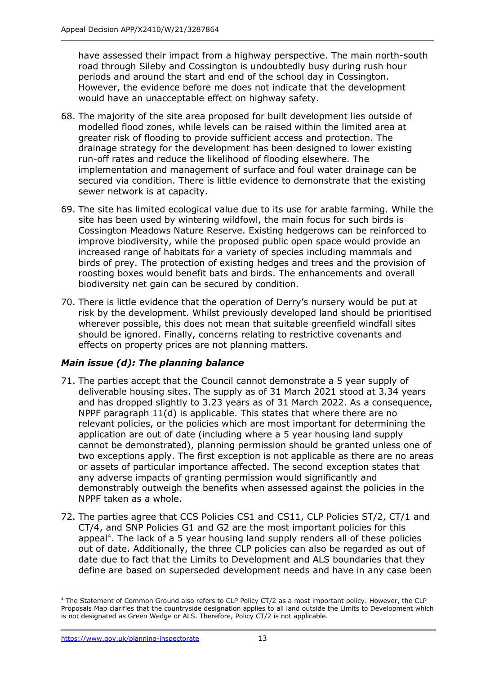have assessed their impact from a highway perspective. The main north-south road through Sileby and Cossington is undoubtedly busy during rush hour periods and around the start and end of the school day in Cossington. However, the evidence before me does not indicate that the development would have an unacceptable effect on highway safety.

- 68. The majority of the site area proposed for built development lies outside of modelled flood zones, while levels can be raised within the limited area at greater risk of flooding to provide sufficient access and protection. The drainage strategy for the development has been designed to lower existing run-off rates and reduce the likelihood of flooding elsewhere. The implementation and management of surface and foul water drainage can be secured via condition. There is little evidence to demonstrate that the existing sewer network is at capacity.
- 69. The site has limited ecological value due to its use for arable farming. While the site has been used by wintering wildfowl, the main focus for such birds is Cossington Meadows Nature Reserve. Existing hedgerows can be reinforced to improve biodiversity, while the proposed public open space would provide an increased range of habitats for a variety of species including mammals and birds of prey. The protection of existing hedges and trees and the provision of roosting boxes would benefit bats and birds. The enhancements and overall biodiversity net gain can be secured by condition.
- 70. There is little evidence that the operation of Derry's nursery would be put at risk by the development. Whilst previously developed land should be prioritised wherever possible, this does not mean that suitable greenfield windfall sites should be ignored. Finally, concerns relating to restrictive covenants and effects on property prices are not planning matters.

# *Main issue (d): The planning balance*

- 71. The parties accept that the Council cannot demonstrate a 5 year supply of deliverable housing sites. The supply as of 31 March 2021 stood at 3.34 years and has dropped slightly to 3.23 years as of 31 March 2022. As a consequence, NPPF paragraph 11(d) is applicable. This states that where there are no relevant policies, or the policies which are most important for determining the application are out of date (including where a 5 year housing land supply cannot be demonstrated), planning permission should be granted unless one of two exceptions apply. The first exception is not applicable as there are no areas or assets of particular importance affected. The second exception states that any adverse impacts of granting permission would significantly and demonstrably outweigh the benefits when assessed against the policies in the NPPF taken as a whole.
- 72. The parties agree that CCS Policies CS1 and CS11, CLP Policies ST/2, CT/1 and CT/4, and SNP Policies G1 and G2 are the most important policies for this appeal<sup>4</sup>. The lack of a 5 year housing land supply renders all of these policies out of date. Additionally, the three CLP policies can also be regarded as out of date due to fact that the Limits to Development and ALS boundaries that they define are based on superseded development needs and have in any case been

<sup>4</sup> The Statement of Common Ground also refers to CLP Policy CT/2 as a most important policy. However, the CLP Proposals Map clarifies that the countryside designation applies to all land outside the Limits to Development which is not designated as Green Wedge or ALS. Therefore, Policy CT/2 is not applicable.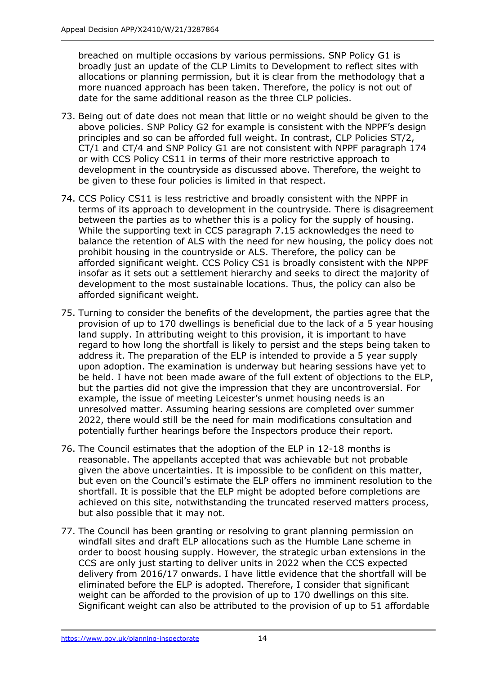breached on multiple occasions by various permissions. SNP Policy G1 is broadly just an update of the CLP Limits to Development to reflect sites with allocations or planning permission, but it is clear from the methodology that a more nuanced approach has been taken. Therefore, the policy is not out of date for the same additional reason as the three CLP policies.

- 73. Being out of date does not mean that little or no weight should be given to the above policies. SNP Policy G2 for example is consistent with the NPPF's design principles and so can be afforded full weight. In contrast, CLP Policies ST/2, CT/1 and CT/4 and SNP Policy G1 are not consistent with NPPF paragraph 174 or with CCS Policy CS11 in terms of their more restrictive approach to development in the countryside as discussed above. Therefore, the weight to be given to these four policies is limited in that respect.
- 74. CCS Policy CS11 is less restrictive and broadly consistent with the NPPF in terms of its approach to development in the countryside. There is disagreement between the parties as to whether this is a policy for the supply of housing. While the supporting text in CCS paragraph 7.15 acknowledges the need to balance the retention of ALS with the need for new housing, the policy does not prohibit housing in the countryside or ALS. Therefore, the policy can be afforded significant weight. CCS Policy CS1 is broadly consistent with the NPPF insofar as it sets out a settlement hierarchy and seeks to direct the majority of development to the most sustainable locations. Thus, the policy can also be afforded significant weight.
- 75. Turning to consider the benefits of the development, the parties agree that the provision of up to 170 dwellings is beneficial due to the lack of a 5 year housing land supply. In attributing weight to this provision, it is important to have regard to how long the shortfall is likely to persist and the steps being taken to address it. The preparation of the ELP is intended to provide a 5 year supply upon adoption. The examination is underway but hearing sessions have yet to be held. I have not been made aware of the full extent of objections to the ELP, but the parties did not give the impression that they are uncontroversial. For example, the issue of meeting Leicester's unmet housing needs is an unresolved matter. Assuming hearing sessions are completed over summer 2022, there would still be the need for main modifications consultation and potentially further hearings before the Inspectors produce their report.
- 76. The Council estimates that the adoption of the ELP in 12-18 months is reasonable. The appellants accepted that was achievable but not probable given the above uncertainties. It is impossible to be confident on this matter, but even on the Council's estimate the ELP offers no imminent resolution to the shortfall. It is possible that the ELP might be adopted before completions are achieved on this site, notwithstanding the truncated reserved matters process, but also possible that it may not.
- 77. The Council has been granting or resolving to grant planning permission on windfall sites and draft ELP allocations such as the Humble Lane scheme in order to boost housing supply. However, the strategic urban extensions in the CCS are only just starting to deliver units in 2022 when the CCS expected delivery from 2016/17 onwards. I have little evidence that the shortfall will be eliminated before the ELP is adopted. Therefore, I consider that significant weight can be afforded to the provision of up to 170 dwellings on this site. Significant weight can also be attributed to the provision of up to 51 affordable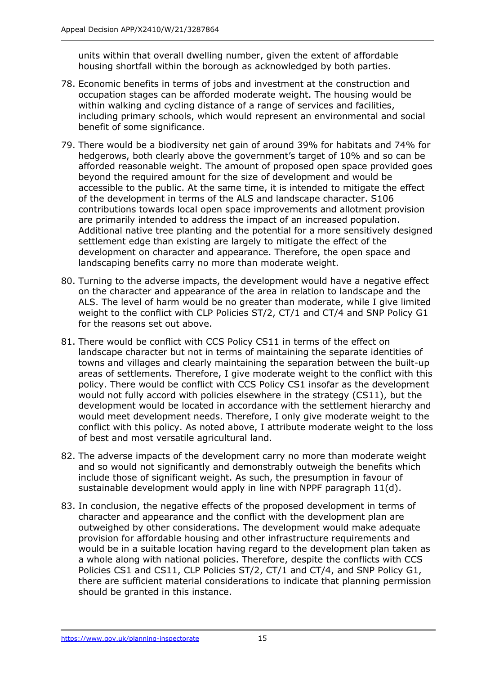units within that overall dwelling number, given the extent of affordable housing shortfall within the borough as acknowledged by both parties.

- 78. Economic benefits in terms of jobs and investment at the construction and occupation stages can be afforded moderate weight. The housing would be within walking and cycling distance of a range of services and facilities, including primary schools, which would represent an environmental and social benefit of some significance.
- 79. There would be a biodiversity net gain of around 39% for habitats and 74% for hedgerows, both clearly above the government's target of 10% and so can be afforded reasonable weight. The amount of proposed open space provided goes beyond the required amount for the size of development and would be accessible to the public. At the same time, it is intended to mitigate the effect of the development in terms of the ALS and landscape character. S106 contributions towards local open space improvements and allotment provision are primarily intended to address the impact of an increased population. Additional native tree planting and the potential for a more sensitively designed settlement edge than existing are largely to mitigate the effect of the development on character and appearance. Therefore, the open space and landscaping benefits carry no more than moderate weight.
- 80. Turning to the adverse impacts, the development would have a negative effect on the character and appearance of the area in relation to landscape and the ALS. The level of harm would be no greater than moderate, while I give limited weight to the conflict with CLP Policies ST/2, CT/1 and CT/4 and SNP Policy G1 for the reasons set out above.
- 81. There would be conflict with CCS Policy CS11 in terms of the effect on landscape character but not in terms of maintaining the separate identities of towns and villages and clearly maintaining the separation between the built-up areas of settlements. Therefore, I give moderate weight to the conflict with this policy. There would be conflict with CCS Policy CS1 insofar as the development would not fully accord with policies elsewhere in the strategy (CS11), but the development would be located in accordance with the settlement hierarchy and would meet development needs. Therefore, I only give moderate weight to the conflict with this policy. As noted above, I attribute moderate weight to the loss of best and most versatile agricultural land.
- 82. The adverse impacts of the development carry no more than moderate weight and so would not significantly and demonstrably outweigh the benefits which include those of significant weight. As such, the presumption in favour of sustainable development would apply in line with NPPF paragraph 11(d).
- 83. In conclusion, the negative effects of the proposed development in terms of character and appearance and the conflict with the development plan are outweighed by other considerations. The development would make adequate provision for affordable housing and other infrastructure requirements and would be in a suitable location having regard to the development plan taken as a whole along with national policies. Therefore, despite the conflicts with CCS Policies CS1 and CS11, CLP Policies ST/2, CT/1 and CT/4, and SNP Policy G1, there are sufficient material considerations to indicate that planning permission should be granted in this instance.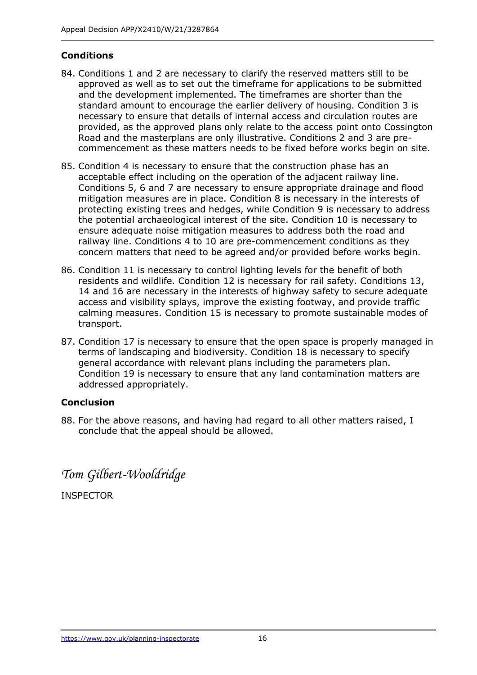# **Conditions**

- 84. Conditions 1 and 2 are necessary to clarify the reserved matters still to be approved as well as to set out the timeframe for applications to be submitted and the development implemented. The timeframes are shorter than the standard amount to encourage the earlier delivery of housing. Condition 3 is necessary to ensure that details of internal access and circulation routes are provided, as the approved plans only relate to the access point onto Cossington Road and the masterplans are only illustrative. Conditions 2 and 3 are precommencement as these matters needs to be fixed before works begin on site.
- 85. Condition 4 is necessary to ensure that the construction phase has an acceptable effect including on the operation of the adjacent railway line. Conditions 5, 6 and 7 are necessary to ensure appropriate drainage and flood mitigation measures are in place. Condition 8 is necessary in the interests of protecting existing trees and hedges, while Condition 9 is necessary to address the potential archaeological interest of the site. Condition 10 is necessary to ensure adequate noise mitigation measures to address both the road and railway line. Conditions 4 to 10 are pre-commencement conditions as they concern matters that need to be agreed and/or provided before works begin.
- 86. Condition 11 is necessary to control lighting levels for the benefit of both residents and wildlife. Condition 12 is necessary for rail safety. Conditions 13, 14 and 16 are necessary in the interests of highway safety to secure adequate access and visibility splays, improve the existing footway, and provide traffic calming measures. Condition 15 is necessary to promote sustainable modes of transport.
- 87. Condition 17 is necessary to ensure that the open space is properly managed in terms of landscaping and biodiversity. Condition 18 is necessary to specify general accordance with relevant plans including the parameters plan. Condition 19 is necessary to ensure that any land contamination matters are addressed appropriately.

# **Conclusion**

88. For the above reasons, and having had regard to all other matters raised, I conclude that the appeal should be allowed.

*Tom Gilbert-Wooldridge*

INSPECTOR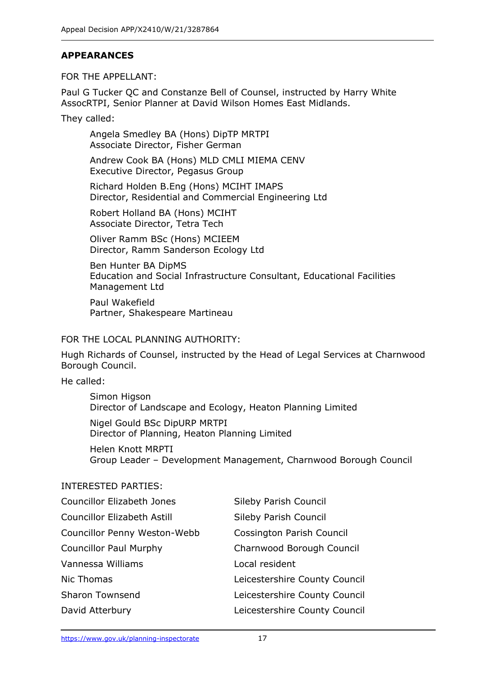### **APPEARANCES**

FOR THE APPELLANT:

Paul G Tucker QC and Constanze Bell of Counsel, instructed by Harry White AssocRTPI, Senior Planner at David Wilson Homes East Midlands.

They called:

Angela Smedley BA (Hons) DipTP MRTPI Associate Director, Fisher German

Andrew Cook BA (Hons) MLD CMLI MIEMA CENV Executive Director, Pegasus Group

Richard Holden B.Eng (Hons) MCIHT IMAPS Director, Residential and Commercial Engineering Ltd

Robert Holland BA (Hons) MCIHT Associate Director, Tetra Tech

Oliver Ramm BSc (Hons) MCIEEM Director, Ramm Sanderson Ecology Ltd

Ben Hunter BA DipMS Education and Social Infrastructure Consultant, Educational Facilities Management Ltd

Paul Wakefield Partner, Shakespeare Martineau

#### FOR THE LOCAL PLANNING AUTHORITY:

Hugh Richards of Counsel, instructed by the Head of Legal Services at Charnwood Borough Council.

He called:

Simon Higson Director of Landscape and Ecology, Heaton Planning Limited

Nigel Gould BSc DipURP MRTPI Director of Planning, Heaton Planning Limited

Helen Knott MRPTI Group Leader – Development Management, Charnwood Borough Council

#### INTERESTED PARTIES:

| <b>Councillor Elizabeth Jones</b>  | Sileby Parish Council            |
|------------------------------------|----------------------------------|
| <b>Councillor Elizabeth Astill</b> | Sileby Parish Council            |
| Councillor Penny Weston-Webb       | <b>Cossington Parish Council</b> |
| <b>Councillor Paul Murphy</b>      | Charnwood Borough Council        |
| Vannessa Williams                  | Local resident                   |
| Nic Thomas                         | Leicestershire County Council    |
| <b>Sharon Townsend</b>             | Leicestershire County Council    |
| David Atterbury                    | Leicestershire County Council    |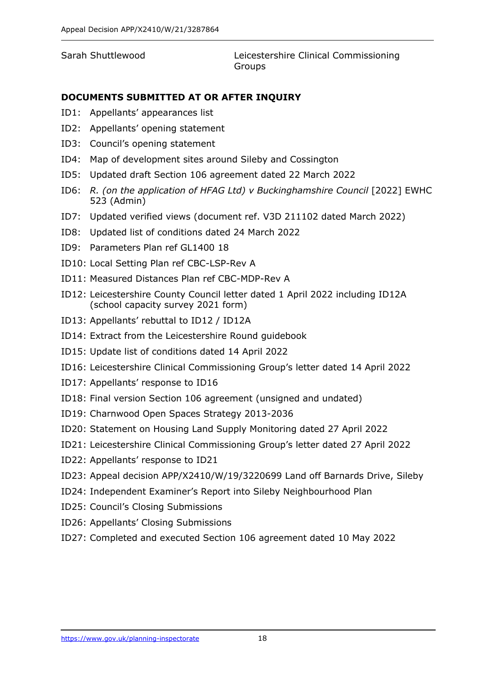Sarah Shuttlewood Leicestershire Clinical Commissioning **Groups** 

#### **DOCUMENTS SUBMITTED AT OR AFTER INQUIRY**

- ID1: Appellants' appearances list
- ID2: Appellants' opening statement
- ID3: Council's opening statement
- ID4: Map of development sites around Sileby and Cossington
- ID5: Updated draft Section 106 agreement dated 22 March 2022
- ID6: *R. (on the application of HFAG Ltd) v Buckinghamshire Council* [2022] EWHC 523 (Admin)
- ID7: Updated verified views (document ref. V3D 211102 dated March 2022)
- ID8: Updated list of conditions dated 24 March 2022
- ID9: Parameters Plan ref GL1400 18
- ID10: Local Setting Plan ref CBC-LSP-Rev A
- ID11: Measured Distances Plan ref CBC-MDP-Rev A
- ID12: Leicestershire County Council letter dated 1 April 2022 including ID12A (school capacity survey 2021 form)
- ID13: Appellants' rebuttal to ID12 / ID12A
- ID14: Extract from the Leicestershire Round guidebook
- ID15: Update list of conditions dated 14 April 2022
- ID16: Leicestershire Clinical Commissioning Group's letter dated 14 April 2022
- ID17: Appellants' response to ID16
- ID18: Final version Section 106 agreement (unsigned and undated)
- ID19: Charnwood Open Spaces Strategy 2013-2036
- ID20: Statement on Housing Land Supply Monitoring dated 27 April 2022
- ID21: Leicestershire Clinical Commissioning Group's letter dated 27 April 2022
- ID22: Appellants' response to ID21
- ID23: Appeal decision APP/X2410/W/19/3220699 Land off Barnards Drive, Sileby
- ID24: Independent Examiner's Report into Sileby Neighbourhood Plan
- ID25: Council's Closing Submissions
- ID26: Appellants' Closing Submissions
- ID27: Completed and executed Section 106 agreement dated 10 May 2022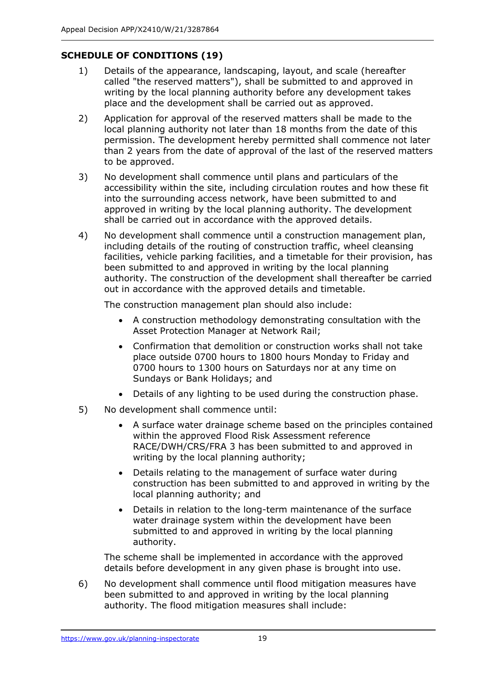# **SCHEDULE OF CONDITIONS (19)**

- 1) Details of the appearance, landscaping, layout, and scale (hereafter called "the reserved matters"), shall be submitted to and approved in writing by the local planning authority before any development takes place and the development shall be carried out as approved.
- 2) Application for approval of the reserved matters shall be made to the local planning authority not later than 18 months from the date of this permission. The development hereby permitted shall commence not later than 2 years from the date of approval of the last of the reserved matters to be approved.
- 3) No development shall commence until plans and particulars of the accessibility within the site, including circulation routes and how these fit into the surrounding access network, have been submitted to and approved in writing by the local planning authority. The development shall be carried out in accordance with the approved details.
- 4) No development shall commence until a construction management plan, including details of the routing of construction traffic, wheel cleansing facilities, vehicle parking facilities, and a timetable for their provision, has been submitted to and approved in writing by the local planning authority. The construction of the development shall thereafter be carried out in accordance with the approved details and timetable.

The construction management plan should also include:

- A construction methodology demonstrating consultation with the Asset Protection Manager at Network Rail;
- Confirmation that demolition or construction works shall not take place outside 0700 hours to 1800 hours Monday to Friday and 0700 hours to 1300 hours on Saturdays nor at any time on Sundays or Bank Holidays; and
- Details of any lighting to be used during the construction phase.
- 5) No development shall commence until:
	- A surface water drainage scheme based on the principles contained within the approved Flood Risk Assessment reference RACE/DWH/CRS/FRA 3 has been submitted to and approved in writing by the local planning authority;
	- Details relating to the management of surface water during construction has been submitted to and approved in writing by the local planning authority; and
	- Details in relation to the long-term maintenance of the surface water drainage system within the development have been submitted to and approved in writing by the local planning authority.

The scheme shall be implemented in accordance with the approved details before development in any given phase is brought into use.

6) No development shall commence until flood mitigation measures have been submitted to and approved in writing by the local planning authority. The flood mitigation measures shall include: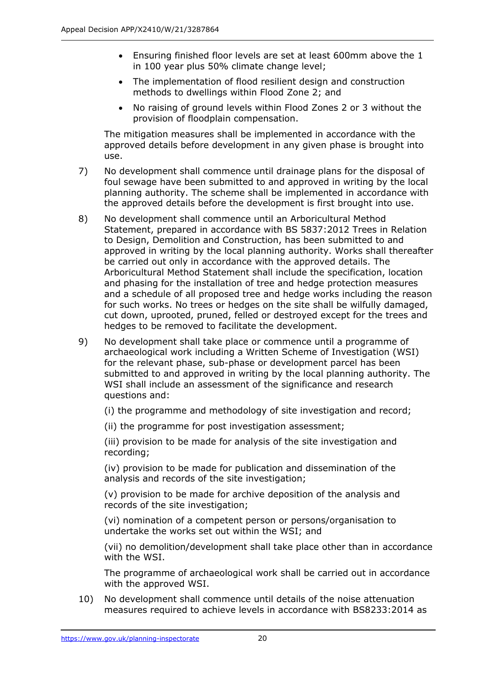- Ensuring finished floor levels are set at least 600mm above the 1 in 100 year plus 50% climate change level;
- The implementation of flood resilient design and construction methods to dwellings within Flood Zone 2; and
- No raising of ground levels within Flood Zones 2 or 3 without the provision of floodplain compensation.

The mitigation measures shall be implemented in accordance with the approved details before development in any given phase is brought into use.

- 7) No development shall commence until drainage plans for the disposal of foul sewage have been submitted to and approved in writing by the local planning authority. The scheme shall be implemented in accordance with the approved details before the development is first brought into use.
- 8) No development shall commence until an Arboricultural Method Statement, prepared in accordance with BS 5837:2012 Trees in Relation to Design, Demolition and Construction, has been submitted to and approved in writing by the local planning authority. Works shall thereafter be carried out only in accordance with the approved details. The Arboricultural Method Statement shall include the specification, location and phasing for the installation of tree and hedge protection measures and a schedule of all proposed tree and hedge works including the reason for such works. No trees or hedges on the site shall be wilfully damaged, cut down, uprooted, pruned, felled or destroyed except for the trees and hedges to be removed to facilitate the development.
- 9) No development shall take place or commence until a programme of archaeological work including a Written Scheme of Investigation (WSI) for the relevant phase, sub-phase or development parcel has been submitted to and approved in writing by the local planning authority. The WSI shall include an assessment of the significance and research questions and:

(i) the programme and methodology of site investigation and record;

(ii) the programme for post investigation assessment;

(iii) provision to be made for analysis of the site investigation and recording;

(iv) provision to be made for publication and dissemination of the analysis and records of the site investigation;

(v) provision to be made for archive deposition of the analysis and records of the site investigation;

(vi) nomination of a competent person or persons/organisation to undertake the works set out within the WSI; and

(vii) no demolition/development shall take place other than in accordance with the WSI.

The programme of archaeological work shall be carried out in accordance with the approved WSI.

10) No development shall commence until details of the noise attenuation measures required to achieve levels in accordance with BS8233:2014 as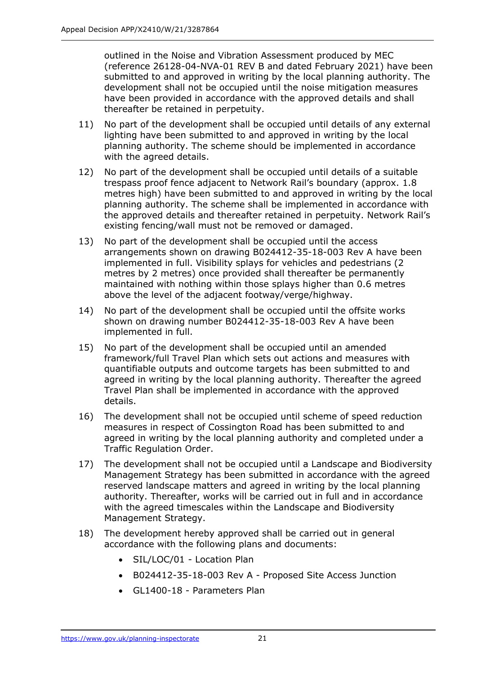outlined in the Noise and Vibration Assessment produced by MEC (reference 26128-04-NVA-01 REV B and dated February 2021) have been submitted to and approved in writing by the local planning authority. The development shall not be occupied until the noise mitigation measures have been provided in accordance with the approved details and shall thereafter be retained in perpetuity.

- 11) No part of the development shall be occupied until details of any external lighting have been submitted to and approved in writing by the local planning authority. The scheme should be implemented in accordance with the agreed details.
- 12) No part of the development shall be occupied until details of a suitable trespass proof fence adjacent to Network Rail's boundary (approx. 1.8 metres high) have been submitted to and approved in writing by the local planning authority. The scheme shall be implemented in accordance with the approved details and thereafter retained in perpetuity. Network Rail's existing fencing/wall must not be removed or damaged.
- 13) No part of the development shall be occupied until the access arrangements shown on drawing B024412-35-18-003 Rev A have been implemented in full. Visibility splays for vehicles and pedestrians (2 metres by 2 metres) once provided shall thereafter be permanently maintained with nothing within those splays higher than 0.6 metres above the level of the adjacent footway/verge/highway.
- 14) No part of the development shall be occupied until the offsite works shown on drawing number B024412-35-18-003 Rev A have been implemented in full.
- 15) No part of the development shall be occupied until an amended framework/full Travel Plan which sets out actions and measures with quantifiable outputs and outcome targets has been submitted to and agreed in writing by the local planning authority. Thereafter the agreed Travel Plan shall be implemented in accordance with the approved details.
- 16) The development shall not be occupied until scheme of speed reduction measures in respect of Cossington Road has been submitted to and agreed in writing by the local planning authority and completed under a Traffic Regulation Order.
- 17) The development shall not be occupied until a Landscape and Biodiversity Management Strategy has been submitted in accordance with the agreed reserved landscape matters and agreed in writing by the local planning authority. Thereafter, works will be carried out in full and in accordance with the agreed timescales within the Landscape and Biodiversity Management Strategy.
- 18) The development hereby approved shall be carried out in general accordance with the following plans and documents:
	- SIL/LOC/01 Location Plan
	- B024412-35-18-003 Rev A Proposed Site Access Junction
	- GL1400-18 Parameters Plan